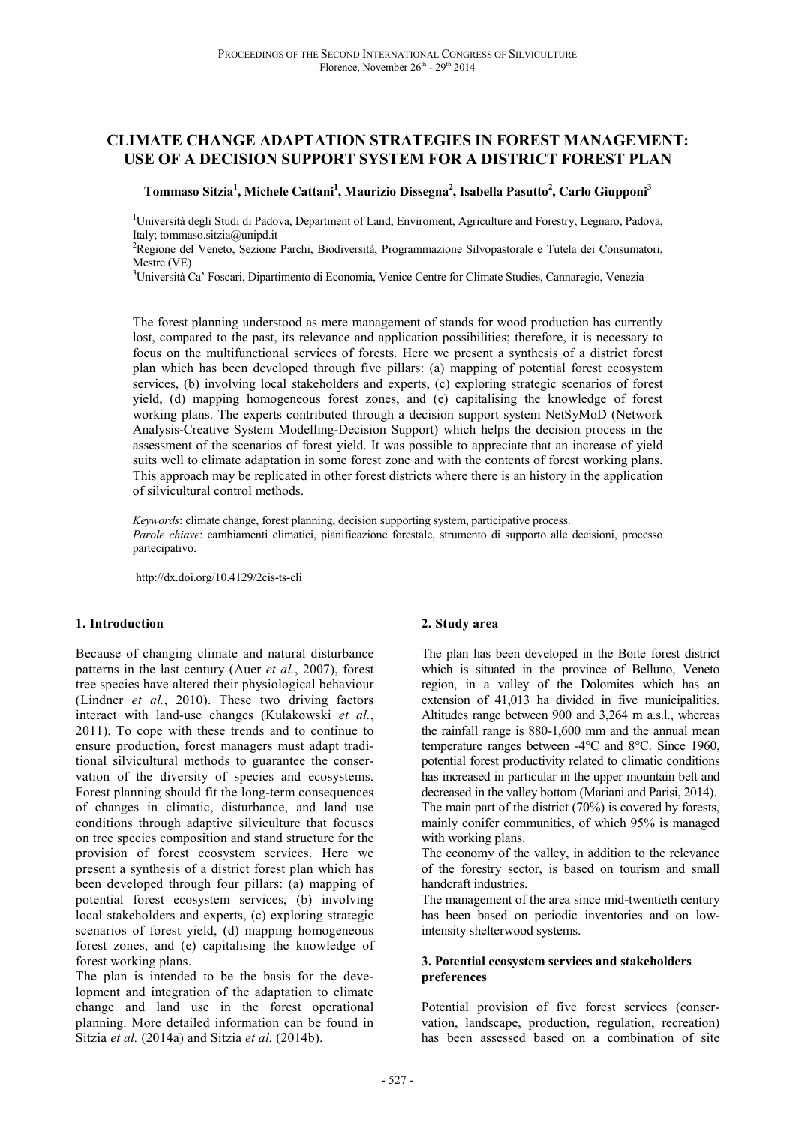# **CLIMATE CHANGE ADAPTATION STRATEGIES IN FOREST MANAGEMENT: USE OF A DECISION SUPPORT SYSTEM FOR A DISTRICT FOREST PLAN**

### **Tommaso Sitzia<sup>1</sup> , Michele Cattani<sup>1</sup> , Maurizio Dissegna<sup>2</sup> , Isabella Pasutto<sup>2</sup> , Carlo Giupponi<sup>3</sup>**

<sup>1</sup>Università degli Studi di Padova, Department of Land, Enviroment, Agriculture and Forestry, Legnaro, Padova, Italy; tommaso.sitzia@unipd.it

<sup>2</sup>Regione del Veneto, Sezione Parchi, Biodiversità, Programmazione Silvopastorale e Tutela dei Consumatori, Mestre (VE)

<sup>3</sup>Università Ca' Foscari, Dipartimento di Economia, Venice Centre for Climate Studies, Cannaregio, Venezia

The forest planning understood as mere management of stands for wood production has currently lost, compared to the past, its relevance and application possibilities; therefore, it is necessary to focus on the multifunctional services of forests. Here we present a synthesis of a district forest plan which has been developed through five pillars: (a) mapping of potential forest ecosystem services, (b) involving local stakeholders and experts, (c) exploring strategic scenarios of forest yield, (d) mapping homogeneous forest zones, and (e) capitalising the knowledge of forest working plans. The experts contributed through a decision support system NetSyMoD (Network Analysis-Creative System Modelling-Decision Support) which helps the decision process in the assessment of the scenarios of forest yield. It was possible to appreciate that an increase of yield suits well to climate adaptation in some forest zone and with the contents of forest working plans. This approach may be replicated in other forest districts where there is an history in the application of silvicultural control methods.

*Keywords*: climate change, forest planning, decision supporting system, participative process. *Parole chiave*: cambiamenti climatici, pianificazione forestale, strumento di supporto alle decisioni, processo partecipativo.

http://dx.doi.org/10.4129/2cis-ts-cli

#### **1. Introduction**

Because of changing climate and natural disturbance patterns in the last century (Auer *et al.*, 2007), forest tree species have altered their physiological behaviour (Lindner *et al.*, 2010). These two driving factors interact with land-use changes (Kulakowski *et al.*, 2011). To cope with these trends and to continue to ensure production, forest managers must adapt traditional silvicultural methods to guarantee the conservation of the diversity of species and ecosystems. Forest planning should fit the long-term consequences of changes in climatic, disturbance, and land use conditions through adaptive silviculture that focuses on tree species composition and stand structure for the provision of forest ecosystem services. Here we present a synthesis of a district forest plan which has been developed through four pillars: (a) mapping of potential forest ecosystem services, (b) involving local stakeholders and experts, (c) exploring strategic scenarios of forest yield, (d) mapping homogeneous forest zones, and (e) capitalising the knowledge of forest working plans.

The plan is intended to be the basis for the development and integration of the adaptation to climate change and land use in the forest operational planning. More detailed information can be found in Sitzia *et al.* (2014a) and Sitzia *et al.* (2014b).

### **2. Study area**

The plan has been developed in the Boite forest district which is situated in the province of Belluno, Veneto region, in a valley of the Dolomites which has an extension of 41,013 ha divided in five municipalities. Altitudes range between 900 and 3,264 m a.s.l., whereas the rainfall range is 880-1,600 mm and the annual mean temperature ranges between -4°C and 8°C. Since 1960, potential forest productivity related to climatic conditions has increased in particular in the upper mountain belt and decreased in the valley bottom (Mariani and Parisi, 2014). The main part of the district (70%) is covered by forests, mainly conifer communities, of which 95% is managed with working plans.

The economy of the valley, in addition to the relevance of the forestry sector, is based on tourism and small handcraft industries.

The management of the area since mid-twentieth century has been based on periodic inventories and on lowintensity shelterwood systems.

#### **3. Potential ecosystem services and stakeholders preferences**

Potential provision of five forest services (conservation, landscape, production, regulation, recreation) has been assessed based on a combination of site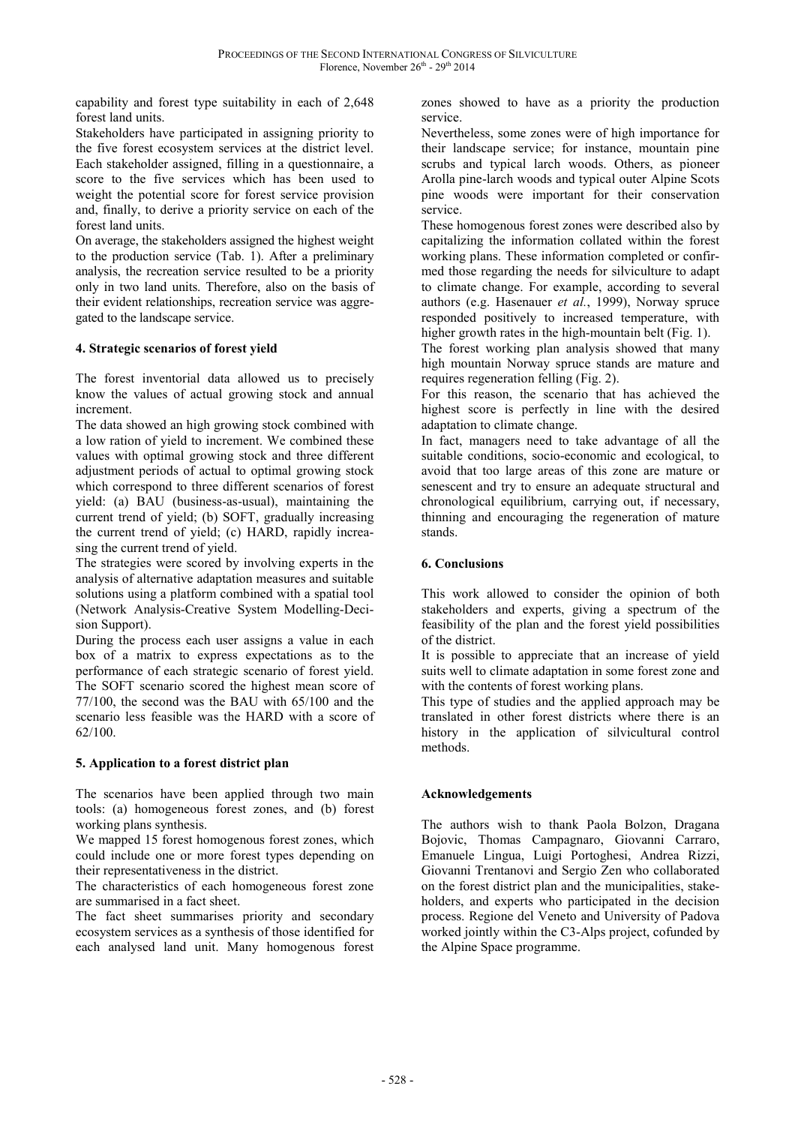capability and forest type suitability in each of 2,648 forest land units.

Stakeholders have participated in assigning priority to the five forest ecosystem services at the district level. Each stakeholder assigned, filling in a questionnaire, a score to the five services which has been used to weight the potential score for forest service provision and, finally, to derive a priority service on each of the forest land units.

On average, the stakeholders assigned the highest weight to the production service (Tab. 1). After a preliminary analysis, the recreation service resulted to be a priority only in two land units. Therefore, also on the basis of their evident relationships, recreation service was aggregated to the landscape service.

# **4. Strategic scenarios of forest yield**

The forest inventorial data allowed us to precisely know the values of actual growing stock and annual increment.

The data showed an high growing stock combined with a low ration of yield to increment. We combined these values with optimal growing stock and three different adjustment periods of actual to optimal growing stock which correspond to three different scenarios of forest yield: (a) BAU (business-as-usual), maintaining the current trend of yield; (b) SOFT, gradually increasing the current trend of yield; (c) HARD, rapidly increasing the current trend of yield.

The strategies were scored by involving experts in the analysis of alternative adaptation measures and suitable solutions using a platform combined with a spatial tool (Network Analysis-Creative System Modelling-Decision Support).

During the process each user assigns a value in each box of a matrix to express expectations as to the performance of each strategic scenario of forest yield. The SOFT scenario scored the highest mean score of 77/100, the second was the BAU with 65/100 and the scenario less feasible was the HARD with a score of 62/100.

# **5. Application to a forest district plan**

The scenarios have been applied through two main tools: (a) homogeneous forest zones, and (b) forest working plans synthesis.

We mapped 15 forest homogenous forest zones, which could include one or more forest types depending on their representativeness in the district.

The characteristics of each homogeneous forest zone are summarised in a fact sheet.

The fact sheet summarises priority and secondary ecosystem services as a synthesis of those identified for each analysed land unit. Many homogenous forest

zones showed to have as a priority the production service.

Nevertheless, some zones were of high importance for their landscape service; for instance, mountain pine scrubs and typical larch woods. Others, as pioneer Arolla pine-larch woods and typical outer Alpine Scots pine woods were important for their conservation service.

These homogenous forest zones were described also by capitalizing the information collated within the forest working plans. These information completed or confirmed those regarding the needs for silviculture to adapt to climate change. For example, according to several authors (e.g. Hasenauer *et al.*, 1999), Norway spruce responded positively to increased temperature, with higher growth rates in the high-mountain belt (Fig. 1).

The forest working plan analysis showed that many high mountain Norway spruce stands are mature and requires regeneration felling (Fig. 2).

For this reason, the scenario that has achieved the highest score is perfectly in line with the desired adaptation to climate change.

In fact, managers need to take advantage of all the suitable conditions, socio-economic and ecological, to avoid that too large areas of this zone are mature or senescent and try to ensure an adequate structural and chronological equilibrium, carrying out, if necessary, thinning and encouraging the regeneration of mature stands.

## **6. Conclusions**

This work allowed to consider the opinion of both stakeholders and experts, giving a spectrum of the feasibility of the plan and the forest yield possibilities of the district.

It is possible to appreciate that an increase of yield suits well to climate adaptation in some forest zone and with the contents of forest working plans.

This type of studies and the applied approach may be translated in other forest districts where there is an history in the application of silvicultural control methods.

# **Acknowledgements**

The authors wish to thank Paola Bolzon, Dragana Bojovic, Thomas Campagnaro, Giovanni Carraro, Emanuele Lingua, Luigi Portoghesi, Andrea Rizzi, Giovanni Trentanovi and Sergio Zen who collaborated on the forest district plan and the municipalities, stakeholders, and experts who participated in the decision process. Regione del Veneto and University of Padova worked jointly within the C3-Alps project, cofunded by the Alpine Space programme.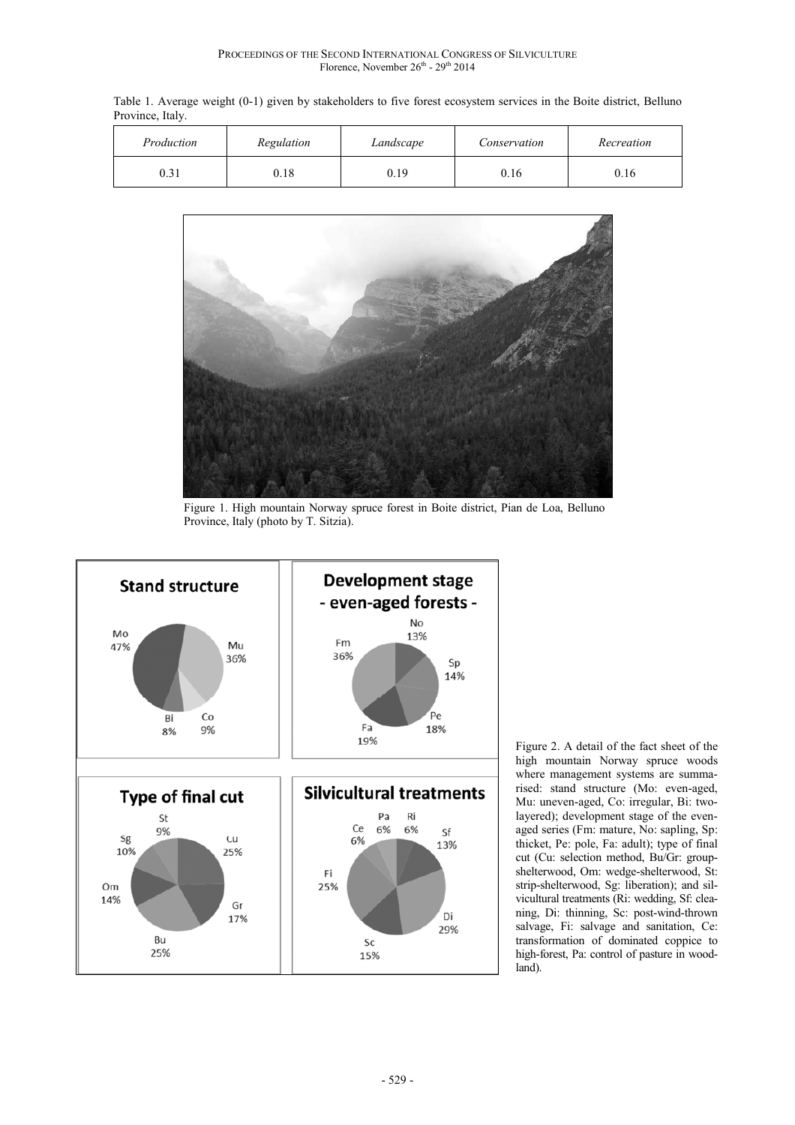Table 1. Average weight (0-1) given by stakeholders to five forest ecosystem services in the Boite district, Belluno Province, Italy.

| Production    | Regulation | Landscape | Conservation | Recreation |
|---------------|------------|-----------|--------------|------------|
| .21<br>U. 3 I | 0.18       | 0.19      | 0.16         | 0.16       |



Figure 1. High mountain Norway spruce forest in Boite district, Pian de Loa, Belluno Province, Italy (photo by T. Sitzia).



Figure 2. A detail of the fact sheet of the high mountain Norway spruce woods where management systems are summarised: stand structure (Mo: even-aged, Mu: uneven-aged, Co: irregular, Bi: twolayered); development stage of the evenaged series (Fm: mature, No: sapling, Sp: thicket, Pe: pole, Fa: adult); type of final cut (Cu: selection method, Bu/Gr: groupshelterwood, Om: wedge-shelterwood, St: strip-shelterwood, Sg: liberation); and silvicultural treatments (Ri: wedding, Sf: cleaning, Di: thinning, Sc: post-wind-thrown salvage, Fi: salvage and sanitation, Ce: transformation of dominated coppice to high-forest, Pa: control of pasture in woodland).